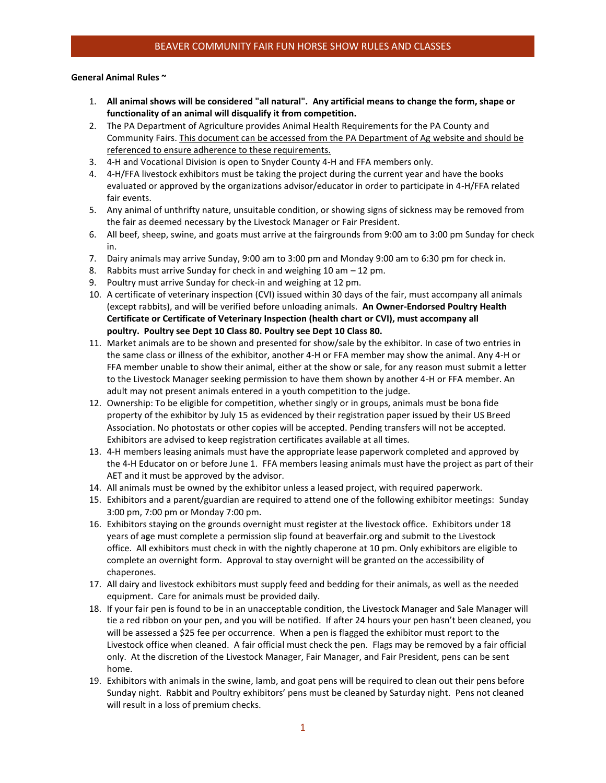### **General Animal Rules ~**

- 1. **All animal shows will be considered "all natural". Any artificial means to change the form, shape or functionality of an animal will disqualify it from competition.**
- 2. The PA Department of Agriculture provides Animal Health Requirements for the PA County and Community Fairs. This document can be accessed from the PA Department of Ag website and should be referenced to ensure adherence to these requirements.
- 3. 4-H and Vocational Division is open to Snyder County 4-H and FFA members only.
- 4. 4-H/FFA livestock exhibitors must be taking the project during the current year and have the books evaluated or approved by the organizations advisor/educator in order to participate in 4-H/FFA related fair events.
- 5. Any animal of unthrifty nature, unsuitable condition, or showing signs of sickness may be removed from the fair as deemed necessary by the Livestock Manager or Fair President.
- 6. All beef, sheep, swine, and goats must arrive at the fairgrounds from 9:00 am to 3:00 pm Sunday for check in.
- 7. Dairy animals may arrive Sunday, 9:00 am to 3:00 pm and Monday 9:00 am to 6:30 pm for check in.
- 8. Rabbits must arrive Sunday for check in and weighing 10 am 12 pm.
- 9. Poultry must arrive Sunday for check-in and weighing at 12 pm.
- 10. A certificate of veterinary inspection (CVI) issued within 30 days of the fair, must accompany all animals (except rabbits), and will be verified before unloading animals. **An Owner-Endorsed Poultry Health Certificate or Certificate of Veterinary Inspection (health chart or CVI), must accompany all poultry. Poultry see Dept 10 Class 80. Poultry see Dept 10 Class 80.**
- 11. Market animals are to be shown and presented for show/sale by the exhibitor. In case of two entries in the same class or illness of the exhibitor, another 4-H or FFA member may show the animal. Any 4-H or FFA member unable to show their animal, either at the show or sale, for any reason must submit a letter to the Livestock Manager seeking permission to have them shown by another 4-H or FFA member. An adult may not present animals entered in a youth competition to the judge.
- 12. Ownership: To be eligible for competition, whether singly or in groups, animals must be bona fide property of the exhibitor by July 15 as evidenced by their registration paper issued by their US Breed Association. No photostats or other copies will be accepted. Pending transfers will not be accepted. Exhibitors are advised to keep registration certificates available at all times.
- 13. 4-H members leasing animals must have the appropriate lease paperwork completed and approved by the 4-H Educator on or before June 1. FFA members leasing animals must have the project as part of their AET and it must be approved by the advisor.
- 14. All animals must be owned by the exhibitor unless a leased project, with required paperwork.
- 15. Exhibitors and a parent/guardian are required to attend one of the following exhibitor meetings: Sunday 3:00 pm, 7:00 pm or Monday 7:00 pm.
- 16. Exhibitors staying on the grounds overnight must register at the livestock office. Exhibitors under 18 years of age must complete a permission slip found at beaverfair.org and submit to the Livestock office. All exhibitors must check in with the nightly chaperone at 10 pm. Only exhibitors are eligible to complete an overnight form. Approval to stay overnight will be granted on the accessibility of chaperones.
- 17. All dairy and livestock exhibitors must supply feed and bedding for their animals, as well as the needed equipment. Care for animals must be provided daily.
- 18. If your fair pen is found to be in an unacceptable condition, the Livestock Manager and Sale Manager will tie a red ribbon on your pen, and you will be notified. If after 24 hours your pen hasn't been cleaned, you will be assessed a \$25 fee per occurrence. When a pen is flagged the exhibitor must report to the Livestock office when cleaned. A fair official must check the pen. Flags may be removed by a fair official only. At the discretion of the Livestock Manager, Fair Manager, and Fair President, pens can be sent home.
- 19. Exhibitors with animals in the swine, lamb, and goat pens will be required to clean out their pens before Sunday night. Rabbit and Poultry exhibitors' pens must be cleaned by Saturday night. Pens not cleaned will result in a loss of premium checks.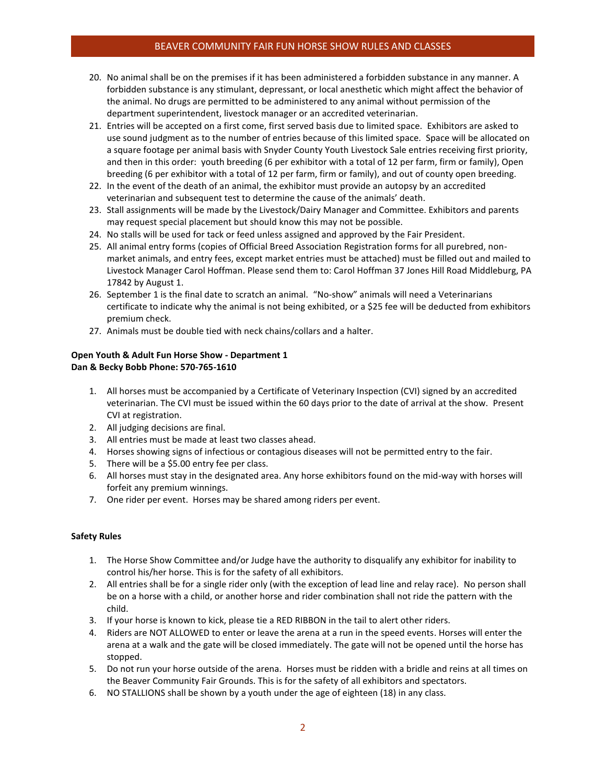# BEAVER COMMUNITY FAIR FUN HORSE SHOW RULES AND CLASSES

- 20. No animal shall be on the premises if it has been administered a forbidden substance in any manner. A forbidden substance is any stimulant, depressant, or local anesthetic which might affect the behavior of the animal. No drugs are permitted to be administered to any animal without permission of the department superintendent, livestock manager or an accredited veterinarian.
- 21. Entries will be accepted on a first come, first served basis due to limited space. Exhibitors are asked to use sound judgment as to the number of entries because of this limited space. Space will be allocated on a square footage per animal basis with Snyder County Youth Livestock Sale entries receiving first priority, and then in this order: youth breeding (6 per exhibitor with a total of 12 per farm, firm or family), Open breeding (6 per exhibitor with a total of 12 per farm, firm or family), and out of county open breeding.
- 22. In the event of the death of an animal, the exhibitor must provide an autopsy by an accredited veterinarian and subsequent test to determine the cause of the animals' death.
- 23. Stall assignments will be made by the Livestock/Dairy Manager and Committee. Exhibitors and parents may request special placement but should know this may not be possible.
- 24. No stalls will be used for tack or feed unless assigned and approved by the Fair President.
- 25. All animal entry forms (copies of Official Breed Association Registration forms for all purebred, nonmarket animals, and entry fees, except market entries must be attached) must be filled out and mailed to Livestock Manager Carol Hoffman. Please send them to: Carol Hoffman 37 Jones Hill Road Middleburg, PA 17842 by August 1.
- 26. September 1 is the final date to scratch an animal. "No-show" animals will need a Veterinarians certificate to indicate why the animal is not being exhibited, or a \$25 fee will be deducted from exhibitors premium check.
- 27. Animals must be double tied with neck chains/collars and a halter.

## **Open Youth & Adult Fun Horse Show - Department 1 Dan & Becky Bobb Phone: 570-765-1610**

- 1. All horses must be accompanied by a Certificate of Veterinary Inspection (CVI) signed by an accredited veterinarian. The CVI must be issued within the 60 days prior to the date of arrival at the show. Present CVI at registration.
- 2. All judging decisions are final.
- 3. All entries must be made at least two classes ahead.
- 4. Horses showing signs of infectious or contagious diseases will not be permitted entry to the fair.
- 5. There will be a \$5.00 entry fee per class.
- 6. All horses must stay in the designated area. Any horse exhibitors found on the mid-way with horses will forfeit any premium winnings.
- 7. One rider per event. Horses may be shared among riders per event.

## **Safety Rules**

- 1. The Horse Show Committee and/or Judge have the authority to disqualify any exhibitor for inability to control his/her horse. This is for the safety of all exhibitors.
- 2. All entries shall be for a single rider only (with the exception of lead line and relay race). No person shall be on a horse with a child, or another horse and rider combination shall not ride the pattern with the child.
- 3. If your horse is known to kick, please tie a RED RIBBON in the tail to alert other riders.
- 4. Riders are NOT ALLOWED to enter or leave the arena at a run in the speed events. Horses will enter the arena at a walk and the gate will be closed immediately. The gate will not be opened until the horse has stopped.
- 5. Do not run your horse outside of the arena. Horses must be ridden with a bridle and reins at all times on the Beaver Community Fair Grounds. This is for the safety of all exhibitors and spectators.
- 6. NO STALLIONS shall be shown by a youth under the age of eighteen (18) in any class.